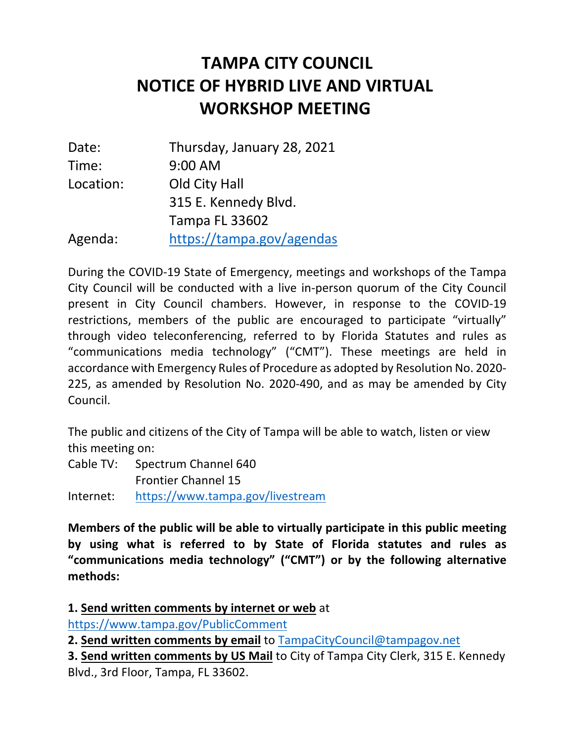# **NOTICE OF HYBRID LIVE AND VIRTUAL TAMPA CITY COUNCIL WORKSHOP MEETING**

| Date:     | Thursday, January 28, 2021 |
|-----------|----------------------------|
| Time:     | 9:00 AM                    |
| Location: | Old City Hall              |
|           | 315 E. Kennedy Blvd.       |
|           | <b>Tampa FL 33602</b>      |
| Agenda:   | https://tampa.gov/agendas  |

 During the COVID-19 State of Emergency, meetings and workshops of the Tampa City Council will be conducted with a live in-person quorum of the City Council present in City Council chambers. However, in response to the COVID-19 restrictions, members of the public are encouraged to participate "virtually" through video teleconferencing, referred to by Florida Statutes and rules as "communications media technology" ("CMT"). These meetings are held in accordance with Emergency Rules of Procedure as adopted by Resolution No. 2020- 225, as amended by Resolution No. 2020-490, and as may be amended by City Council.

 The public and citizens of the City of Tampa will be able to watch, listen or view this meeting on:

 Cable TV: Spectrum Channel 640 Frontier Channel 15

Internet: https://www.tampa.gov/livestream

 **Members of the public will be able to virtually participate in this public meeting by using what is referred to by State of Florida statutes and rules as "communications media technology" ("CMT") or by the following alternative methods:** 

 https://www.tampa.gov/PublicComment **1. Send written comments by internet or web** at

 **2. Send written comments by email** to TampaCityCouncil@tampagov.net

 **3. Send written comments by US Mail** to City of Tampa City Clerk, 315 E. Kennedy Blvd., 3rd Floor, Tampa, FL 33602.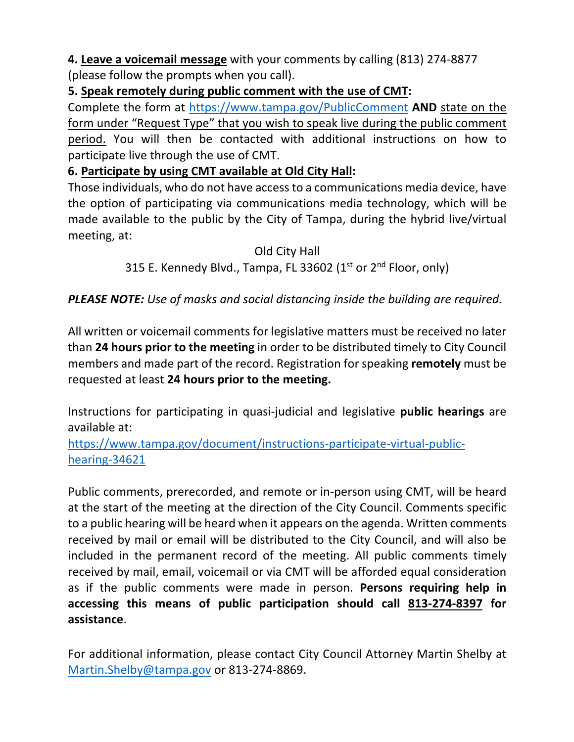**4. Leave a voicemail message** with your comments by calling (813) 274-8877 (please follow the prompts when you call).

### **5. Speak remotely during public comment with the use of CMT:**

 Complete the form at https://www.tampa.gov/PublicComment **AND** state on the form under "Request Type" that you wish to speak live during the public comment participate live through the use of CMT. period. You will then be contacted with additional instructions on how to

## **6. Participate by using CMT available at Old City Hall:**

 Those individuals, who do not have access to a communications media device, have the option of participating via communications media technology, which will be made available to the public by the City of Tampa, during the hybrid live/virtual meeting, at:

#### Old City Hall

# 315 E. Kennedy Blvd., Tampa, FL 33602 (1<sup>st</sup> or 2<sup>nd</sup> Floor, only)

## *PLEASE NOTE: Use of masks and social distancing inside the building are required.*

 All written or voicemail comments for legislative matters must be received no later  than **24 hours prior to the meeting** in order to be distributed timely to City Council members and made part of the record. Registration for speaking **remotely** must be  requested at least **24 hours prior to the meeting.** 

Instructions for participating in quasi-judicial and legislative **public hearings** are available at:

https://www.tampa.gov/document/instructions-participate-virtual-publichearing-34621

 Public comments, prerecorded, and remote or in-person using CMT, will be heard at the start of the meeting at the direction of the City Council. Comments specific to a public hearing will be heard when it appears on the agenda. Written comments received by mail or email will be distributed to the City Council, and will also be included in the permanent record of the meeting. All public comments timely received by mail, email, voicemail or via CMT will be afforded equal consideration as if the public comments were made in person. **Persons requiring help in accessing this means of public participation should call 813-274-8397 for assistance**.

 For additional information, please contact City Council Attorney Martin Shelby at Martin.Shelby@tampa.gov or 813-274-8869.